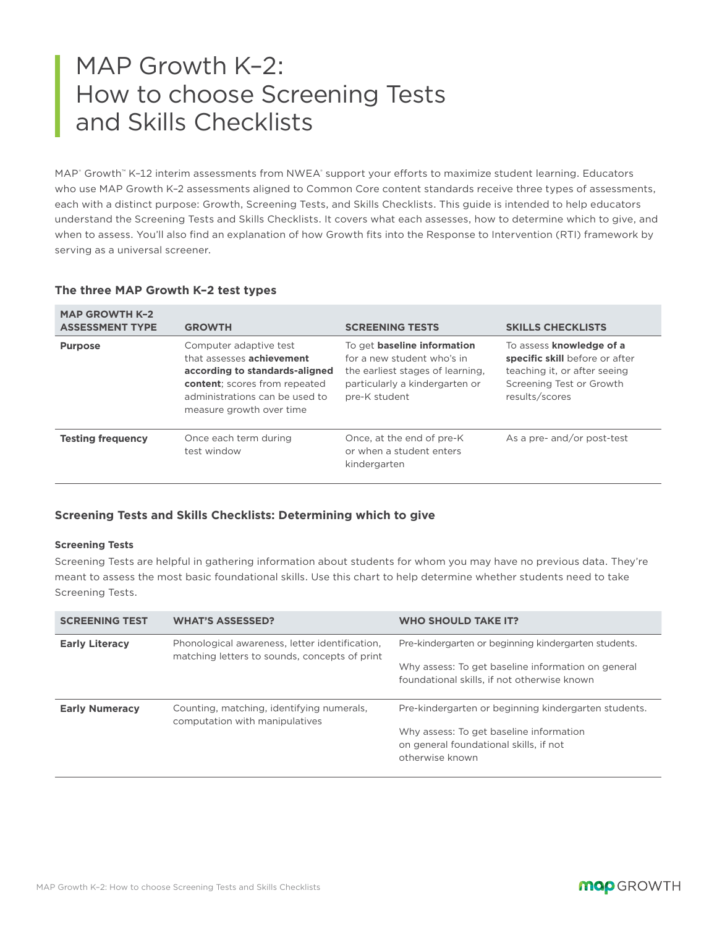# MAP Growth K–2: How to choose Screening Tests and Skills Checklists

MAP® Growth™ K-12 interim assessments from NWEA® support your efforts to maximize student learning. Educators who use MAP Growth K–2 assessments aligned to Common Core content standards receive three types of assessments, each with a distinct purpose: Growth, Screening Tests, and Skills Checklists. This guide is intended to help educators understand the Screening Tests and Skills Checklists. It covers what each assesses, how to determine which to give, and when to assess. You'll also find an explanation of how Growth fits into the Response to Intervention (RTI) framework by serving as a universal screener.

| <b>MAP GROWTH K-2</b><br><b>ASSESSMENT TYPE</b> | <b>GROWTH</b>                                                                                                                                                                               | <b>SCREENING TESTS</b>                                                                                                                           | <b>SKILLS CHECKLISTS</b>                                                                                                                 |
|-------------------------------------------------|---------------------------------------------------------------------------------------------------------------------------------------------------------------------------------------------|--------------------------------------------------------------------------------------------------------------------------------------------------|------------------------------------------------------------------------------------------------------------------------------------------|
| <b>Purpose</b>                                  | Computer adaptive test<br>that assesses <b>achievement</b><br>according to standards-aligned<br>content; scores from repeated<br>administrations can be used to<br>measure growth over time | To get baseline information<br>for a new student who's in<br>the earliest stages of learning.<br>particularly a kindergarten or<br>pre-K student | To assess knowledge of a<br>specific skill before or after<br>teaching it, or after seeing<br>Screening Test or Growth<br>results/scores |
| <b>Testing frequency</b>                        | Once each term during<br>test window                                                                                                                                                        | Once, at the end of pre-K<br>or when a student enters<br>kindergarten                                                                            | As a pre- and/or post-test                                                                                                               |

#### **The three MAP Growth K–2 test types**

#### **Screening Tests and Skills Checklists: Determining which to give**

#### **Screening Tests**

Screening Tests are helpful in gathering information about students for whom you may have no previous data. They're meant to assess the most basic foundational skills. Use this chart to help determine whether students need to take Screening Tests.

| <b>SCREENING TEST</b> | <b>WHAT'S ASSESSED?</b>                                                                         | <b>WHO SHOULD TAKE IT?</b>                           |
|-----------------------|-------------------------------------------------------------------------------------------------|------------------------------------------------------|
| <b>Early Literacy</b> | Phonological awareness, letter identification,<br>matching letters to sounds, concepts of print | Pre-kindergarten or beginning kindergarten students. |
|                       |                                                                                                 | Why assess: To get baseline information on general   |
|                       |                                                                                                 | foundational skills, if not otherwise known          |
| <b>Early Numeracy</b> | Counting, matching, identifying numerals,<br>computation with manipulatives                     | Pre-kindergarten or beginning kindergarten students. |
|                       |                                                                                                 | Why assess: To get baseline information              |
|                       |                                                                                                 | on general foundational skills, if not               |
|                       |                                                                                                 | otherwise known                                      |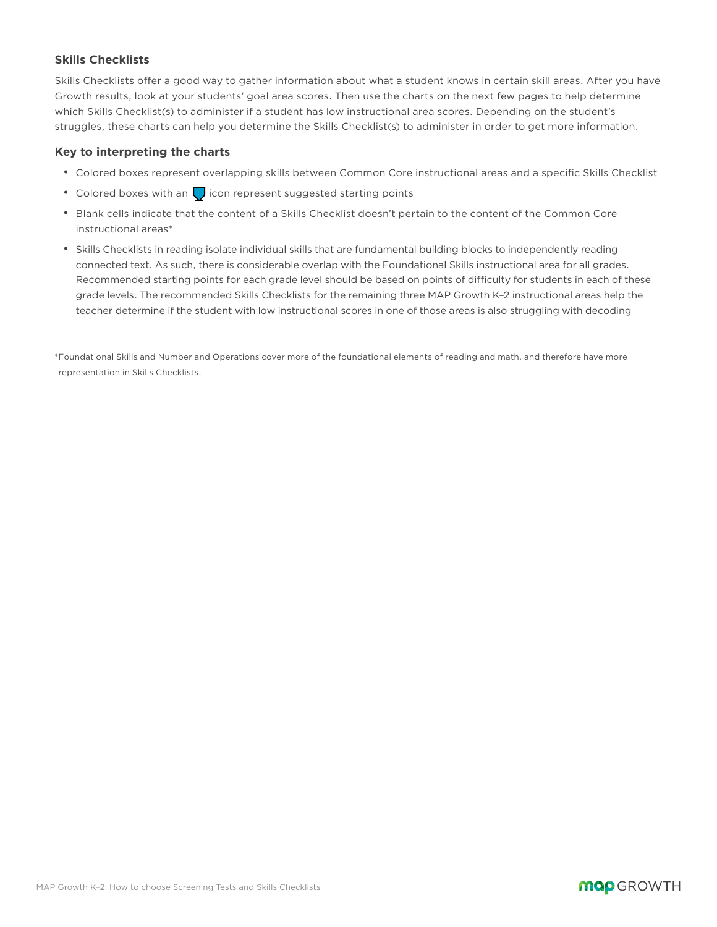### **Skills Checklists**

Skills Checklists offer a good way to gather information about what a student knows in certain skill areas. After you have Growth results, look at your students' goal area scores. Then use the charts on the next few pages to help determine which Skills Checklist(s) to administer if a student has low instructional area scores. Depending on the student's struggles, these charts can help you determine the Skills Checklist(s) to administer in order to get more information.

#### **Key to interpreting the charts**

- Colored boxes represent overlapping skills between Common Core instructional areas and a specific Skills Checklist
- Colored boxes with an  $\bigcup$  icon represent suggested starting points
- Blank cells indicate that the content of a Skills Checklist doesn't pertain to the content of the Common Core instructional areas\*
- Skills Checklists in reading isolate individual skills that are fundamental building blocks to independently reading connected text. As such, there is considerable overlap with the Foundational Skills instructional area for all grades. Recommended starting points for each grade level should be based on points of difficulty for students in each of these grade levels. The recommended Skills Checklists for the remaining three MAP Growth K–2 instructional areas help the teacher determine if the student with low instructional scores in one of those areas is also struggling with decoding

\*Foundational Skills and Number and Operations cover more of the foundational elements of reading and math, and therefore have more representation in Skills Checklists.

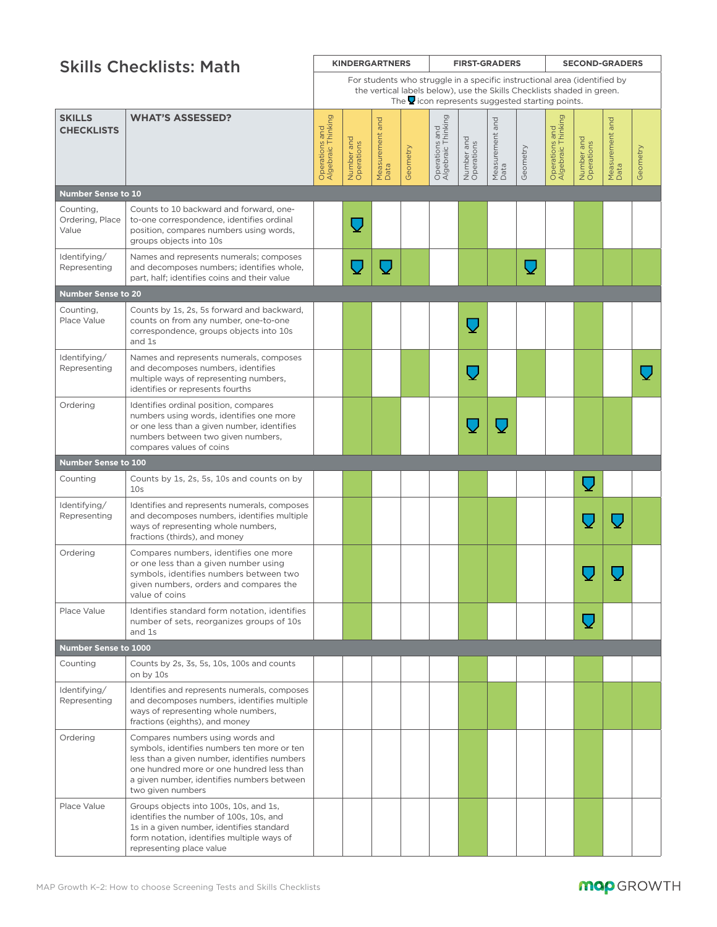| <b>Skills Checklists: Math</b>        |                                                                                                                                                                                                                                                 |                                                                                                                                                                                                                            | <b>KINDERGARTNERS</b>    |                         |          |                                      | <b>FIRST-GRADERS</b>     |                         |          | <b>SECOND-GRADERS</b>                        |                          |                         |          |
|---------------------------------------|-------------------------------------------------------------------------------------------------------------------------------------------------------------------------------------------------------------------------------------------------|----------------------------------------------------------------------------------------------------------------------------------------------------------------------------------------------------------------------------|--------------------------|-------------------------|----------|--------------------------------------|--------------------------|-------------------------|----------|----------------------------------------------|--------------------------|-------------------------|----------|
|                                       |                                                                                                                                                                                                                                                 | For students who struggle in a specific instructional area (identified by<br>the vertical labels below), use the Skills Checklists shaded in green.<br>The $\blacktriangledown$ icon represents suggested starting points. |                          |                         |          |                                      |                          |                         |          |                                              |                          |                         |          |
| <b>SKILLS</b><br><b>CHECKLISTS</b>    | <b>WHAT'S ASSESSED?</b>                                                                                                                                                                                                                         | Operations and<br>Algebraic Thinking                                                                                                                                                                                       | Number and<br>Operations | Measurement and<br>Data | Geometry | Operations and<br>Algebraic Thinking | Number and<br>Operations | Measurement and<br>Data | Geometry | hinking<br>Operations and<br>Algebraic Think | Number and<br>Operations | Measurement and<br>Data | Geometry |
| <b>Number Sense to 10</b>             |                                                                                                                                                                                                                                                 |                                                                                                                                                                                                                            |                          |                         |          |                                      |                          |                         |          |                                              |                          |                         |          |
| Counting,<br>Ordering, Place<br>Value | Counts to 10 backward and forward, one-<br>to-one correspondence, identifies ordinal<br>position, compares numbers using words,<br>groups objects into 10s                                                                                      |                                                                                                                                                                                                                            | $\bigcup$                |                         |          |                                      |                          |                         |          |                                              |                          |                         |          |
| Identifying/<br>Representing          | Names and represents numerals; composes<br>and decomposes numbers; identifies whole,<br>part, half; identifies coins and their value                                                                                                            |                                                                                                                                                                                                                            | $\bigtriangledown$       |                         |          |                                      |                          |                         | V        |                                              |                          |                         |          |
| <b>Number Sense to 20</b>             |                                                                                                                                                                                                                                                 |                                                                                                                                                                                                                            |                          |                         |          |                                      |                          |                         |          |                                              |                          |                         |          |
| Counting,<br>Place Value              | Counts by 1s, 2s, 5s forward and backward,<br>counts on from any number, one-to-one<br>correspondence, groups objects into 10s<br>and 1s                                                                                                        |                                                                                                                                                                                                                            |                          |                         |          |                                      | $\bigcup$                |                         |          |                                              |                          |                         |          |
| Identifying/<br>Representing          | Names and represents numerals, composes<br>and decomposes numbers, identifies<br>multiple ways of representing numbers,<br>identifies or represents fourths                                                                                     |                                                                                                                                                                                                                            |                          |                         |          |                                      | $\bigcup$                |                         |          |                                              |                          |                         |          |
| Ordering                              | Identifies ordinal position, compares<br>numbers using words, identifies one more<br>or one less than a given number, identifies<br>numbers between two given numbers,<br>compares values of coins                                              |                                                                                                                                                                                                                            |                          |                         |          |                                      | V                        |                         |          |                                              |                          |                         |          |
| Number Sense to 100                   |                                                                                                                                                                                                                                                 |                                                                                                                                                                                                                            |                          |                         |          |                                      |                          |                         |          |                                              |                          |                         |          |
| Counting                              | Counts by 1s, 2s, 5s, 10s and counts on by<br>10 <sub>s</sub>                                                                                                                                                                                   |                                                                                                                                                                                                                            |                          |                         |          |                                      |                          |                         |          |                                              | $\backslash$             |                         |          |
| Identifying/<br>Representing          | Identifies and represents numerals, composes<br>and decomposes numbers, identifies multiple<br>ways of representing whole numbers,<br>fractions (thirds), and money                                                                             |                                                                                                                                                                                                                            |                          |                         |          |                                      |                          |                         |          |                                              | $\bigtriangledown$       | U                       |          |
| Ordering                              | Compares numbers, identifies one more<br>or one less than a given number using<br>symbols, identifies numbers between two<br>given numbers, orders and compares the<br>value of coins                                                           |                                                                                                                                                                                                                            |                          |                         |          |                                      |                          |                         |          |                                              |                          |                         |          |
| Place Value                           | Identifies standard form notation, identifies<br>number of sets, reorganizes groups of 10s<br>and 1s                                                                                                                                            |                                                                                                                                                                                                                            |                          |                         |          |                                      |                          |                         |          |                                              | Ų                        |                         |          |
| <b>Number Sense to 1000</b>           |                                                                                                                                                                                                                                                 |                                                                                                                                                                                                                            |                          |                         |          |                                      |                          |                         |          |                                              |                          |                         |          |
| Counting                              | Counts by 2s, 3s, 5s, 10s, 100s and counts<br>on by 10s                                                                                                                                                                                         |                                                                                                                                                                                                                            |                          |                         |          |                                      |                          |                         |          |                                              |                          |                         |          |
| ldentifying/<br>Representing          | Identifies and represents numerals, composes<br>and decomposes numbers, identifies multiple<br>ways of representing whole numbers,<br>fractions (eighths), and money                                                                            |                                                                                                                                                                                                                            |                          |                         |          |                                      |                          |                         |          |                                              |                          |                         |          |
| Ordering                              | Compares numbers using words and<br>symbols, identifies numbers ten more or ten<br>less than a given number, identifies numbers<br>one hundred more or one hundred less than<br>a given number, identifies numbers between<br>two given numbers |                                                                                                                                                                                                                            |                          |                         |          |                                      |                          |                         |          |                                              |                          |                         |          |
| Place Value                           | Groups objects into 100s, 10s, and 1s,<br>identifies the number of 100s, 10s, and<br>1s in a given number, identifies standard<br>form notation, identifies multiple ways of<br>representing place value                                        |                                                                                                                                                                                                                            |                          |                         |          |                                      |                          |                         |          |                                              |                          |                         |          |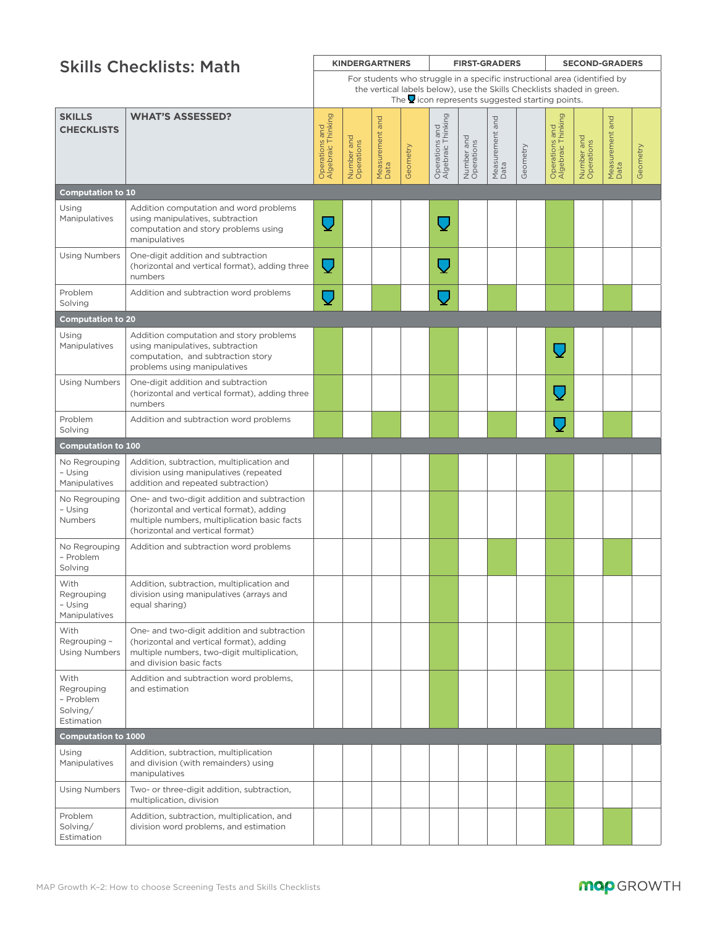| <b>Skills Checklists: Math</b>                            |                                                                                                                                                                             |                                                                                                                                                                                                                            |                          | <b>KINDERGARTNERS</b>   |          |                                      |                          | <b>FIRST-GRADERS</b>    |          | <b>SECOND-GRADERS</b>                |                          |                         |          |
|-----------------------------------------------------------|-----------------------------------------------------------------------------------------------------------------------------------------------------------------------------|----------------------------------------------------------------------------------------------------------------------------------------------------------------------------------------------------------------------------|--------------------------|-------------------------|----------|--------------------------------------|--------------------------|-------------------------|----------|--------------------------------------|--------------------------|-------------------------|----------|
|                                                           |                                                                                                                                                                             | For students who struggle in a specific instructional area (identified by<br>the vertical labels below), use the Skills Checklists shaded in green.<br>The $\blacktriangledown$ icon represents suggested starting points. |                          |                         |          |                                      |                          |                         |          |                                      |                          |                         |          |
| <b>SKILLS</b><br><b>CHECKLISTS</b>                        | <b>WHAT'S ASSESSED?</b>                                                                                                                                                     | Operations and<br>Algebraic Thinking                                                                                                                                                                                       | Number and<br>Operations | Measurement and<br>Data | Geometry | Operations and<br>Algebraic Thinking | Number and<br>Operations | Measurement and<br>Data | Geometry | Operations and<br>Algebraic Thinking | Number and<br>Operations | Measurement and<br>Data | Geometry |
| <b>Computation to 10</b>                                  |                                                                                                                                                                             |                                                                                                                                                                                                                            |                          |                         |          |                                      |                          |                         |          |                                      |                          |                         |          |
| Using<br>Manipulatives                                    | Addition computation and word problems<br>using manipulatives, subtraction<br>computation and story problems using<br>manipulatives                                         | $\bigtriangledown$                                                                                                                                                                                                         |                          |                         |          | V                                    |                          |                         |          |                                      |                          |                         |          |
| <b>Using Numbers</b>                                      | One-digit addition and subtraction<br>(horizontal and vertical format), adding three<br>numbers                                                                             | V                                                                                                                                                                                                                          |                          |                         |          | $\backslash$                         |                          |                         |          |                                      |                          |                         |          |
| Problem<br>Solving                                        | Addition and subtraction word problems                                                                                                                                      | $\bigtriangledown$                                                                                                                                                                                                         |                          |                         |          | V                                    |                          |                         |          |                                      |                          |                         |          |
| <b>Computation to 20</b>                                  |                                                                                                                                                                             |                                                                                                                                                                                                                            |                          |                         |          |                                      |                          |                         |          |                                      |                          |                         |          |
| Using<br>Manipulatives                                    | Addition computation and story problems<br>using manipulatives, subtraction<br>computation, and subtraction story<br>problems using manipulatives                           |                                                                                                                                                                                                                            |                          |                         |          |                                      |                          |                         |          | $\bigcup$                            |                          |                         |          |
| <b>Using Numbers</b>                                      | One-digit addition and subtraction<br>(horizontal and vertical format), adding three<br>numbers                                                                             |                                                                                                                                                                                                                            |                          |                         |          |                                      |                          |                         |          | V                                    |                          |                         |          |
| Problem<br>Solving                                        | Addition and subtraction word problems                                                                                                                                      |                                                                                                                                                                                                                            |                          |                         |          |                                      |                          |                         |          | U                                    |                          |                         |          |
| <b>Computation to 100</b>                                 |                                                                                                                                                                             |                                                                                                                                                                                                                            |                          |                         |          |                                      |                          |                         |          |                                      |                          |                         |          |
| No Regrouping<br>- Using<br>Manipulatives                 | Addition, subtraction, multiplication and<br>division using manipulatives (repeated<br>addition and repeated subtraction)                                                   |                                                                                                                                                                                                                            |                          |                         |          |                                      |                          |                         |          |                                      |                          |                         |          |
| No Regrouping<br>- Using<br>Numbers                       | One- and two-digit addition and subtraction<br>(horizontal and vertical format), adding<br>multiple numbers, multiplication basic facts<br>(horizontal and vertical format) |                                                                                                                                                                                                                            |                          |                         |          |                                      |                          |                         |          |                                      |                          |                         |          |
| No Regrouping<br>- Problem<br>Solving                     | Addition and subtraction word problems                                                                                                                                      |                                                                                                                                                                                                                            |                          |                         |          |                                      |                          |                         |          |                                      |                          |                         |          |
| With<br>Regrouping<br>- Using<br>Manipulatives            | Addition, subtraction, multiplication and<br>division using manipulatives (arrays and<br>equal sharing)                                                                     |                                                                                                                                                                                                                            |                          |                         |          |                                      |                          |                         |          |                                      |                          |                         |          |
| With<br>Regrouping -<br><b>Using Numbers</b>              | One- and two-digit addition and subtraction<br>(horizontal and vertical format), adding<br>multiple numbers, two-digit multiplication,<br>and division basic facts          |                                                                                                                                                                                                                            |                          |                         |          |                                      |                          |                         |          |                                      |                          |                         |          |
| With<br>Regrouping<br>- Problem<br>Solving/<br>Estimation | Addition and subtraction word problems,<br>and estimation                                                                                                                   |                                                                                                                                                                                                                            |                          |                         |          |                                      |                          |                         |          |                                      |                          |                         |          |
| <b>Computation to 1000</b>                                |                                                                                                                                                                             |                                                                                                                                                                                                                            |                          |                         |          |                                      |                          |                         |          |                                      |                          |                         |          |
| Using<br>Manipulatives                                    | Addition, subtraction, multiplication<br>and division (with remainders) using<br>manipulatives                                                                              |                                                                                                                                                                                                                            |                          |                         |          |                                      |                          |                         |          |                                      |                          |                         |          |
| <b>Using Numbers</b>                                      | Two- or three-digit addition, subtraction,<br>multiplication, division                                                                                                      |                                                                                                                                                                                                                            |                          |                         |          |                                      |                          |                         |          |                                      |                          |                         |          |
| Problem<br>Solving/<br>Estimation                         | Addition, subtraction, multiplication, and<br>division word problems, and estimation                                                                                        |                                                                                                                                                                                                                            |                          |                         |          |                                      |                          |                         |          |                                      |                          |                         |          |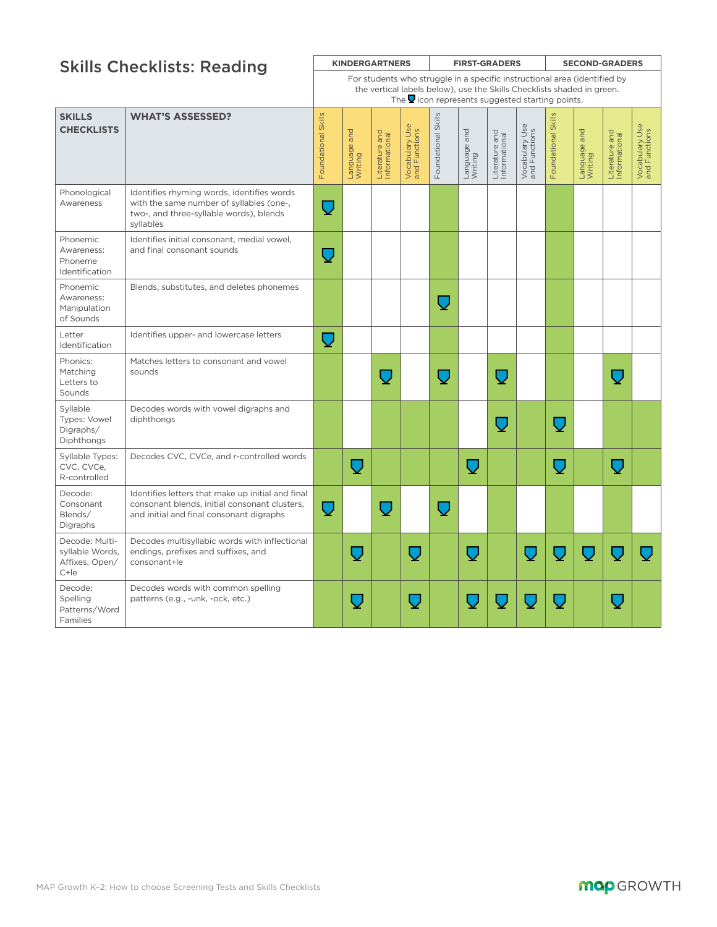| <b>Skills Checklists: Reading</b>                              |                                                                                                                                                |                                                                                                                                                                                                                             |                              | <b>KINDERGARTNERS</b>           |                                        | <b>FIRST-GRADERS</b> |                         |                                 |                                 | <b>SECOND-GRADERS</b> |                         |                                 |                                        |
|----------------------------------------------------------------|------------------------------------------------------------------------------------------------------------------------------------------------|-----------------------------------------------------------------------------------------------------------------------------------------------------------------------------------------------------------------------------|------------------------------|---------------------------------|----------------------------------------|----------------------|-------------------------|---------------------------------|---------------------------------|-----------------------|-------------------------|---------------------------------|----------------------------------------|
|                                                                |                                                                                                                                                | For students who struggle in a specific instructional area (identified by<br>the vertical labels below), use the Skills Checklists shaded in green.<br>The $\blacktriangleright$ icon represents suggested starting points. |                              |                                 |                                        |                      |                         |                                 |                                 |                       |                         |                                 |                                        |
| <b>SKILLS</b><br><b>CHECKLISTS</b>                             | <b>WHAT'S ASSESSED?</b>                                                                                                                        | Foundational Skills                                                                                                                                                                                                         | and<br>Language a<br>Writing | Literature and<br>Informational | <b>Vocabulary Use</b><br>and Functions | Foundational Skills  | Language and<br>Writing | Literature and<br>Informational | Vocabulary Use<br>and Functions | Foundational Skills   | Language and<br>Writing | Literature and<br>Informational | <b>Vocabulary Use</b><br>and Functions |
| Phonological<br>Awareness                                      | Identifies rhyming words, identifies words<br>with the same number of syllables (one-,<br>two-, and three-syllable words), blends<br>syllables | $\bigcup$                                                                                                                                                                                                                   |                              |                                 |                                        |                      |                         |                                 |                                 |                       |                         |                                 |                                        |
| Phonemic<br>Awareness:<br>Phoneme<br>Identification            | Identifies initial consonant, medial vowel,<br>and final consonant sounds                                                                      | $\bigcup$                                                                                                                                                                                                                   |                              |                                 |                                        |                      |                         |                                 |                                 |                       |                         |                                 |                                        |
| Phonemic<br>Awareness:<br>Manipulation<br>of Sounds            | Blends, substitutes, and deletes phonemes                                                                                                      |                                                                                                                                                                                                                             |                              |                                 |                                        | V                    |                         |                                 |                                 |                       |                         |                                 |                                        |
| Letter<br>Identification                                       | Identifies upper- and lowercase letters                                                                                                        | $\bigcup$                                                                                                                                                                                                                   |                              |                                 |                                        |                      |                         |                                 |                                 |                       |                         |                                 |                                        |
| Phonics:<br>Matching<br>Letters to<br>Sounds                   | Matches letters to consonant and vowel<br>sounds                                                                                               |                                                                                                                                                                                                                             |                              | $\bigcup$                       |                                        | $\bigcup$            |                         | IJ                              |                                 |                       |                         | $\bigcup$                       |                                        |
| Syllable<br>Types: Vowel<br>Digraphs/<br>Diphthongs            | Decodes words with vowel digraphs and<br>diphthongs                                                                                            |                                                                                                                                                                                                                             |                              |                                 |                                        |                      |                         | $\bigcirc$                      |                                 |                       |                         |                                 |                                        |
| Syllable Types:<br>CVC, CVCe,<br>R-controlled                  | Decodes CVC, CVCe, and r-controlled words                                                                                                      |                                                                                                                                                                                                                             | V                            |                                 |                                        |                      | $\bigtriangledown$      |                                 |                                 | U                     |                         | $\bigcirc$                      |                                        |
| Decode:<br>Consonant<br>Blends/<br>Digraphs                    | Identifies letters that make up initial and final<br>consonant blends, initial consonant clusters,<br>and initial and final consonant digraphs | $\rm\bf \nabla$                                                                                                                                                                                                             |                              | Ų                               |                                        | Ç                    |                         |                                 |                                 |                       |                         |                                 |                                        |
| Decode: Multi-<br>syllable Words,<br>Affixes, Open/<br>$C+ e $ | Decodes multisyllabic words with inflectional<br>endings, prefixes and suffixes, and<br>consonant+le                                           |                                                                                                                                                                                                                             | $\bigtriangledown$           |                                 | V                                      |                      | $\bigcirc$              |                                 | $\bigcirc$                      | $\bigtriangledown$    | $\bigcirc$              | $\bigcup$                       |                                        |
| Decode:<br>Spelling<br>Patterns/Word<br>Families               | Decodes words with common spelling<br>patterns (e.g., -unk, -ock, etc.)                                                                        |                                                                                                                                                                                                                             | $\bigcup$                    |                                 |                                        |                      |                         |                                 |                                 | ◡                     |                         |                                 |                                        |